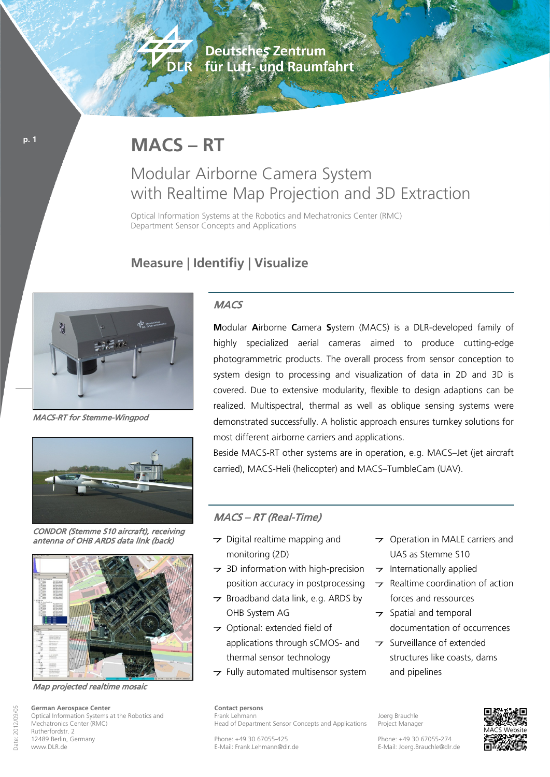**Deutsches Zentrum** für Luft- und Raumfahrt

# **MACS – RT**

DER

## Modular Airborne Camera System with Realtime Map Projection and 3D Extraction

Optical Information Systems at the Robotics and Mechatronics Center (RMC) Department Sensor Concepts and Applications

### **Measure | Identifiy | Visualize**



MACS-RT for Stemme-Wingpod

**p. 1**



CONDOR (Stemme S10 aircraft), receiving antenna of OHB ARDS data link (back)



Map projected realtime mosaic

#### **MACS**

**M**odular **A**irborne **C**amera **S**ystem (MACS) is a DLR-developed family of highly specialized aerial cameras aimed to produce cutting-edge photogrammetric products. The overall process from sensor conception to system design to processing and visualization of data in 2D and 3D is covered. Due to extensive modularity, flexible to design adaptions can be realized. Multispectral, thermal as well as oblique sensing systems were demonstrated successfully. A holistic approach ensures turnkey solutions for most different airborne carriers and applications.

Beside MACS-RT other systems are in operation, e.g. MACS–Jet (jet aircraft carried), MACS-Heli (helicopter) and MACS–TumbleCam (UAV).

#### MACS – RT (Real-Time)

- $\rightarrow$  Digital realtime mapping and monitoring (2D)
- $\rightarrow$  3D information with high-precision position accuracy in postprocessing
- $\rightarrow$  Broadband data link, e.g. ARDS by OHB System AG
- Optional: extended field of applications through sCMOS- and thermal sensor technology
- $\rightarrow$  Fully automated multisensor system
- $\rightarrow$  Operation in MALE carriers and UAS as Stemme S10
- $\rightarrow$  Internationally applied
- $\rightarrow$  Realtime coordination of action forces and ressources
- $\rightarrow$  Spatial and temporal documentation of occurrences
- **T** Surveillance of extended structures like coasts, dams and pipelines

**Contact persons** Frank Lehmann Head of Department Sensor Concepts and Applications

Joerg Brauchle Project Manager



Phone: +49 30 67055-425 E-Mail: Frank.Lehmann@dlr.de

Phone: +49 30 67055-274 E-Mail: Joerg.Brauchle@dlr.de